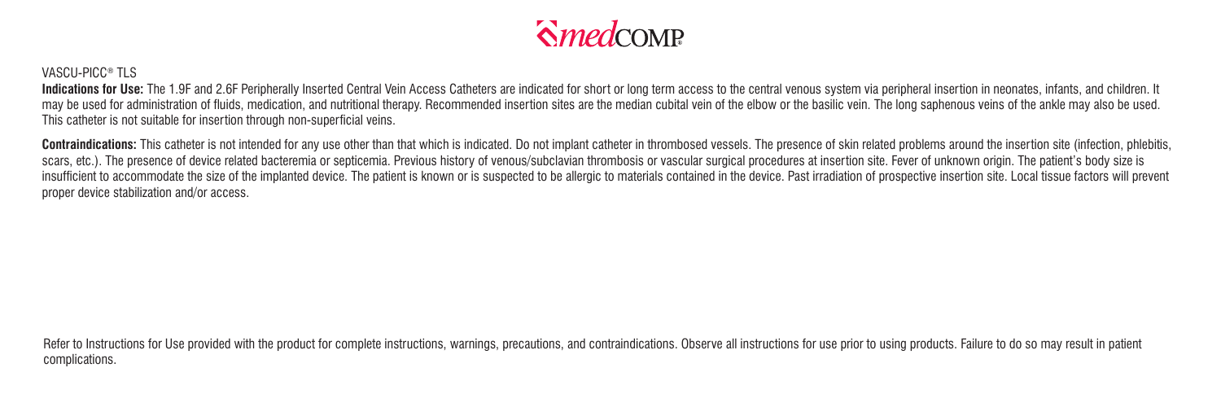

## VASCU-PICC<sup>®</sup> TLS

Indications for Use: The 1.9F and 2.6F Peripherally Inserted Central Vein Access Catheters are indicated for short or long term access to the central venous system via peripheral insertion in neonates, infants, and childre may be used for administration of fluids, medication, and nutritional therapy. Recommended insertion sites are the median cubital vein of the elbow or the basilic vein. The long saphenous veins of the ankle may also be use This catheter is not suitable for insertion through non-superficial veins.

Contraindications: This catheter is not intended for any use other than that which is indicated. Do not implant catheter in thrombosed vessels. The presence of skin related problems around the insertion site (infection, ph scars, etc.). The presence of device related bacteremia or septicemia. Previous history of venous/subclavian thrombosis or vascular surgical procedures at insertion site. Fever of unknown origin. The patient's body size is insufficient to accommodate the size of the implanted device. The patient is known or is suspected to be allergic to materials contained in the device. Past irradiation of prospective insertion site. Local tissue factors w proper device stabilization and/or access.

Refer to Instructions for Use provided with the product for complete instructions, warnings, precautions, and contraindications. Observe all instructions for use prior to using products. Failure to do so may result in pati complications.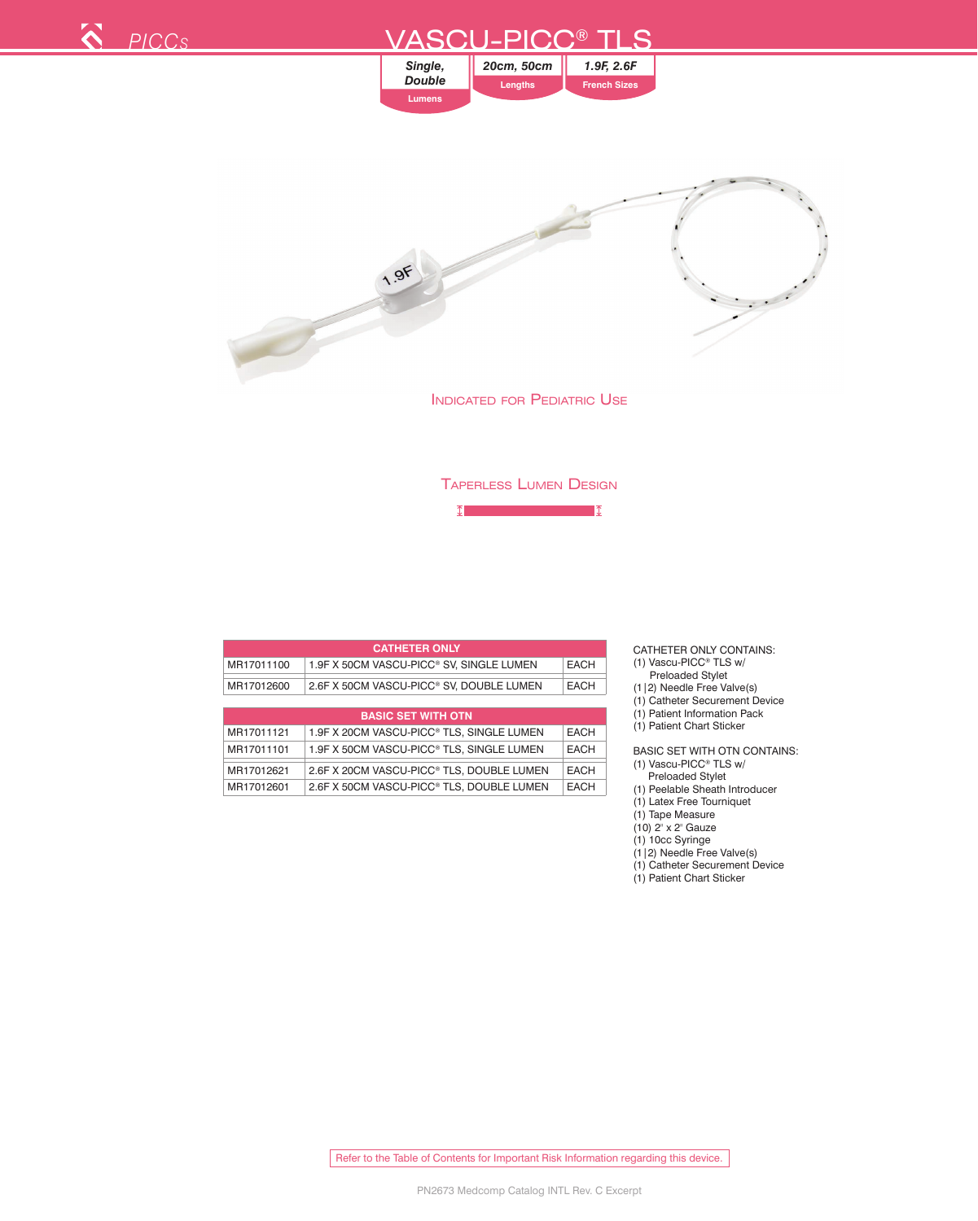

 $\boxed{\mathbb{I}}$  $\blacksquare$ 

|            | <b>CATHETER ONLY</b>                                  |             |
|------------|-------------------------------------------------------|-------------|
| MR17011100 | 1.9F X 50CM VASCU-PICC® SV, SINGLE LUMEN              | <b>EACH</b> |
| MR17012600 | 2.6F X 50CM VASCU-PICC <sup>®</sup> SV. DOUBLE LUMEN  | <b>EACH</b> |
|            |                                                       |             |
|            | <b>BASIC SET WITH OTN</b>                             |             |
| MR17011121 | 1.9F X 20CM VASCU-PICC <sup>®</sup> TLS, SINGLE LUMEN | <b>EACH</b> |
| MR17011101 | 1.9F X 50CM VASCU-PICC® TLS, SINGLE LUMEN             | <b>EACH</b> |
| MR17012621 | 2.6F X 20CM VASCU-PICC® TLS. DOUBLE LUMEN             | <b>EACH</b> |
| MR17012601 | 2.6F X 50CM VASCU-PICC® TLS, DOUBLE LUMEN             | <b>EACH</b> |

CATHETER ONLY CONTAINS:

- (1) Vascu-PICC® TLS w/
- Preloaded Stylet
- (1|2) Needle Free Valve(s)
- (1) Catheter Securement Device
- (1) Patient Information Pack
- (1) Patient Chart Sticker

BASIC SET WITH OTN CONTAINS: (1) Vascu-PICC® TLS w/

- Preloaded Stylet
- (1) Peelable Sheath Introducer
- (1) Latex Free Tourniquet
- (1) Tape Measure
- (10) 2" x 2" Gauze
- (1) 10cc Syringe
- (1|2) Needle Free Valve(s) (1) Catheter Securement Device
- (1) Patient Chart Sticker